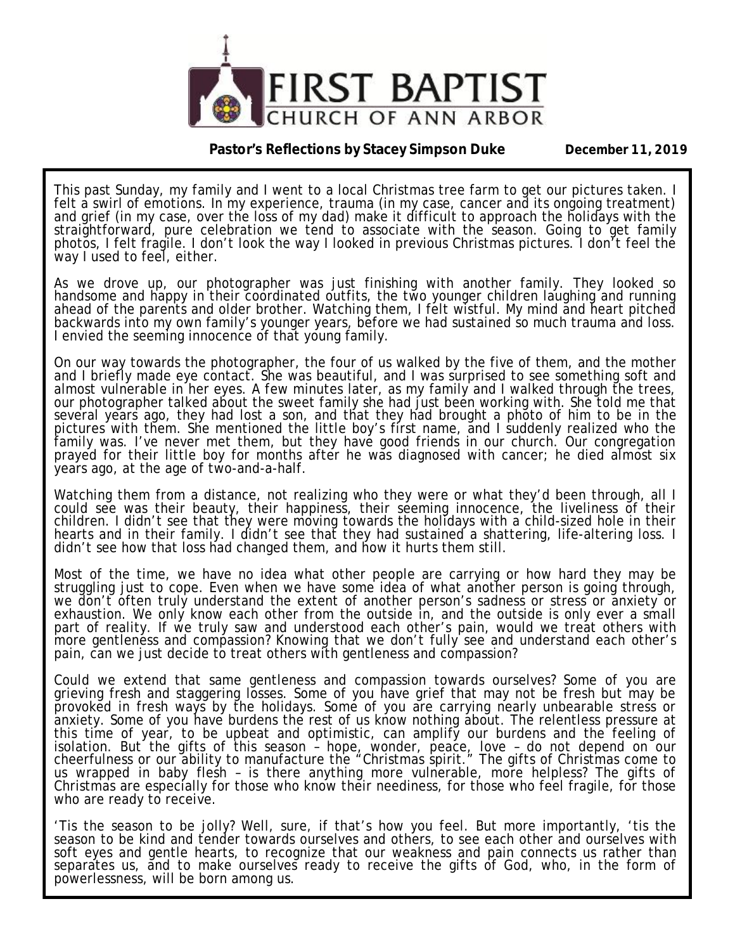

#### **Pastor's Reflections by Stacey Simpson Duke December 11, 2019**

This past Sunday, my family and I went to a local Christmas tree farm to get our pictures taken. I felt a swirl of emotions. In my experience, trauma (in my case, cancer and its ongoing treatment) and grief (in my case, over the loss of my dad) make it difficult to approach the holidays with the straightforward, pure celebration we tend to associate with the season. Going to get family photos, I felt fragile. I don't look the way I looked in previous Christmas pictures. I don't feel the way I used to feel, either.

As we drove up, our photographer was just finishing with another family. They looked so handsome and happy in their coordinated outfits, the two younger children laughing and running ahead of the parents and older brother. Watching them, I felt wistful. My mind and heart pitched backwards into my own family's younger years, before we had sustained so much trauma and loss. I envied the seeming innocence of that young family.

On our way towards the photographer, the four of us walked by the five of them, and the mother and I briefly made eye contact. She was beautiful, and I was surprised to see something soft and almost vulnerable in her eyes. A few minutes later, as my family and I walked through the trees, our photographer talked about the sweet family she had just been working with. She told me that several years ago, they had lost a son, and that they had brought a photo of him to be in the pictures with them. She mentioned the little boy's first name, and I suddenly realized who the family was. I've never met them, but they have good friends in our church. Our congregation prayed for their little boy for months after he was diagnosed with cancer; he died almost six years ago, at the age of two-and-a-half.

Watching them from a distance, not realizing who they were or what they'd been through, all I could see was their beauty, their happiness, their seeming innocence, the liveliness of their children. I didn't see that they were moving towards the holidays with a child-sized hole in their hearts and in their family. I didn't see that they had sustained a shattering, life-altering loss. I didn't see how that loss had changed them, and how it hurts them still.

Most of the time, we have no idea what other people are carrying or how hard they may be struggling just to cope. Even when we have some idea of what another person is going through, we don't often truly understand the extent of another person's sadness or stress or anxiety or exhaustion. We only know each other from the outside in, and the outside is only ever a small part of reality. If we truly saw and understood each other's pain, would we treat others with more gentleness and compassion? Knowing that we don't fully see and understand each other's pain, can we just decide to treat others with gentleness and compassion?

Could we extend that same gentleness and compassion towards ourselves? Some of you are grieving fresh and staggering losses. Some of you have grief that may not be fresh but may be provoked in fresh ways by the holidays. Some of you are carrying nearly unbearable stress or anxiety. Some of you have burdens the rest of us know nothing about. The relentless pressure at this time of year, to be upbeat and optimistic, can amplify our burdens and the feeling of isolation. But the gifts of this season – hope, wonder, peace, love – do not depend on our cheerfulness or our ability to manufacture the "Christmas spirit." The gifts of Christmas come to us wrapped in baby flesh – is there anything more vulnerable, more helpless? The gifts of Christmas are especially for those who know their neediness, for those who feel fragile, for those who are ready to receive.

'Tis the season to be jolly? Well, sure, if that's how you feel. But more importantly, 'tis the season to be kind and tender towards ourselves and others, to see each other and ourselves with soft eyes and gentle hearts, to recognize that our weakness and pain connects us rather than separates us, and to make ourselves ready to receive the gifts of God, who, in the form of powerlessness, will be born among us.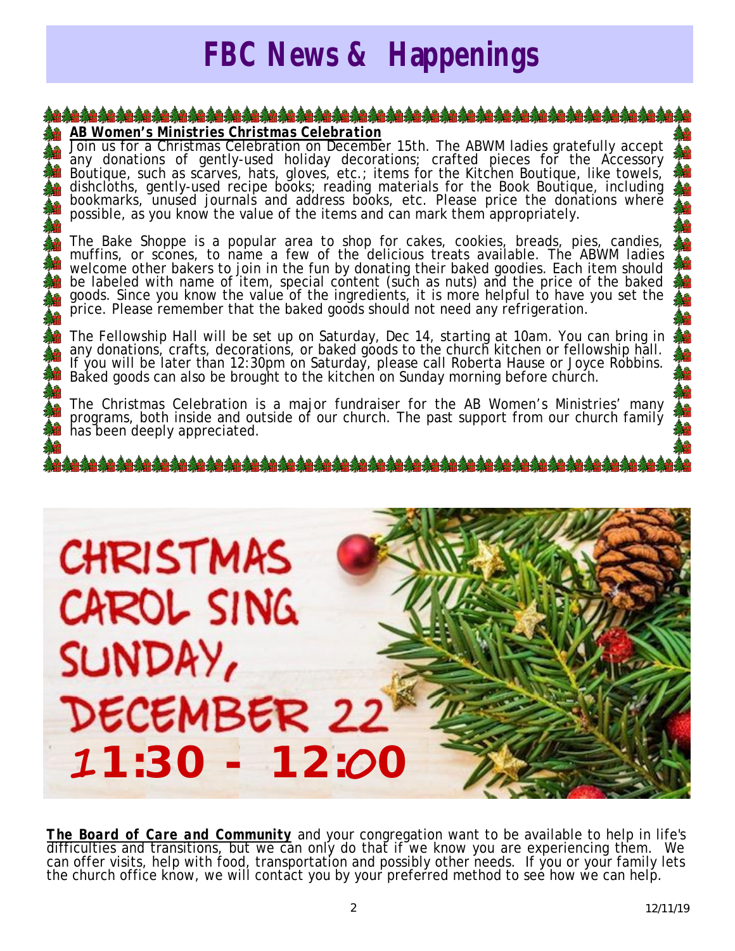## *FBC News & Happenings*

#### *AB Women's Ministries Christmas Celebration*

Join us for a Christmas Celebration on December 15th. The ABWM ladies gratefully accept any donations of gently-used holiday decorations; crafted pieces for the Accessory Boutique, such as scarves, hats, gloves, etc.; items for the Kitchen Boutique, like towels, dishcloths, gently-used recipe books; reading materials for the Book Boutique, including bookmarks, unused journals and address books, etc. Please price the donations where possible, as you know the value of the items and can mark them appropriately.

The Bake Shoppe is a popular area to shop for cakes, cookies, breads, pies, candies, muffins, or scones, to name a few of the delicious treats available. The ABWM ladies welcome other bakers to join in the fun by donating their baked goodies. Each item should be labeled with name of item, special content (such as nuts) and the price of the baked goods. Since you know the value of the ingredients, it is more helpful to have you set the price. Please remember that the baked goods should not need any refrigeration.

The Fellowship Hall will be set up on Saturday, Dec 14, starting at 10am. You can bring in any donations, crafts, decorations, or baked goods to the church kitchen or fellowship hall. If you will be later than 12:30pm on Saturday, please call Roberta Hause or Joyce Robbins. Baked goods can also be brought to the kitchen on Sunday morning before church.

The Christmas Celebration is a major fundraiser for the AB Women's Ministries' many programs, both inside and outside of our church. The past support from our church family has been deeply appreciated.

**CHRISTMAS** CAROL SING SUNDAY, DECEMBER 22  **1:30 - 12: 0**

*The Board of Care and Community* and your congregation want to be available to help in life's difficulties and transitions, but we can only do that if we know you are experiencing them. We can offer visits, help with food, transportation and possibly other needs. If you or your family lets the church office know, we will contact you by your preferred method to see how we can help.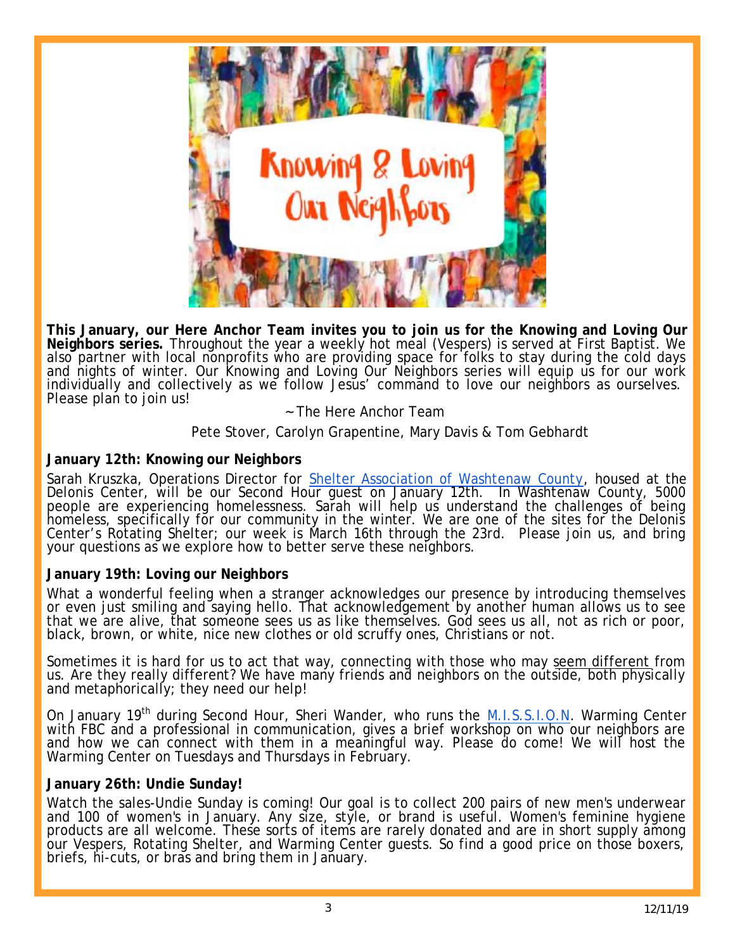

**This January, our Here Anchor Team invites you to join us for the Knowing and Loving Our Neighbors series.** Throughout the year a weekly hot meal (Vespers) is served at First Baptist. We also partner with local nonprofits who are providing space for folks to stay during the cold days and nights of winter. Our Knowing and Loving Our Neighbors series will equip us for our work individually and collectively as we follow Jesus' command to love our neighbors as ourselves. Please plan to join us!

#### ~ The Here Anchor Team

Pete Stover, Carolyn Grapentine, Mary Davis & Tom Gebhardt

#### **January 12th: Knowing our Neighbors**

Sarah Kruszka, Operations Director for Shelter Association of Washtenaw County, housed at the Delonis Center, will be our Second Hour guest on January 12th. In Washtenaw County, 5000 people are experiencing homelessness. Sarah will help us understand the challenges of being homeless, specifically fŏr our community in the winter. We are one of the sites for the Delonis Center's Rotating Shelter; our week is March 16th through the 23rd. Please join us, and bring your questions as we explore how to better serve these neighbors.

#### ĺ **January 19th: Loving our Neighbors**

What a wonderful feeling when a stranger acknowledges our presence by introducing themselves or even just smiling and saying hello. That acknowledgement by another human allows us to see that we are alive, that someone sees us as like themselves. God sees us all, not as rich or poor, black, brown, or white, nice new clothes or old scruffy ones, Christians or not.

Sometimes it is hard for us to act that way, connecting with those who may seem different from us. Are they really different? We have many friends and neighbors on the outside, both physically and metaphorically; they need our help!

On January 19<sup>th</sup> during Second Hour, Sheri Wander, who runs the **M.I.S.S.I.O.N.** Warming Center with FBC and a professional in communication, gives a brief workshop on who our neighbors are and how we can connect with them in a meaningful way. Please do come! We will host the Warming Center on Tuesdays and Thursdays in February.

#### **January 26th: Undie Sunday!**

Watch the sales-Undie Sunday is coming! Our goal is to collect 200 pairs of new men's underwear and 100 of women's in January. Any size, style, or brand is useful. Women's feminine hygiene products are all welcome. These sorts of items are rarely donated and are in short supply among our Vespers, Rotating Shelter, and Warming Center guests. So find a good price on those boxers, briefs, hi-cuts, or bras and bring them in January.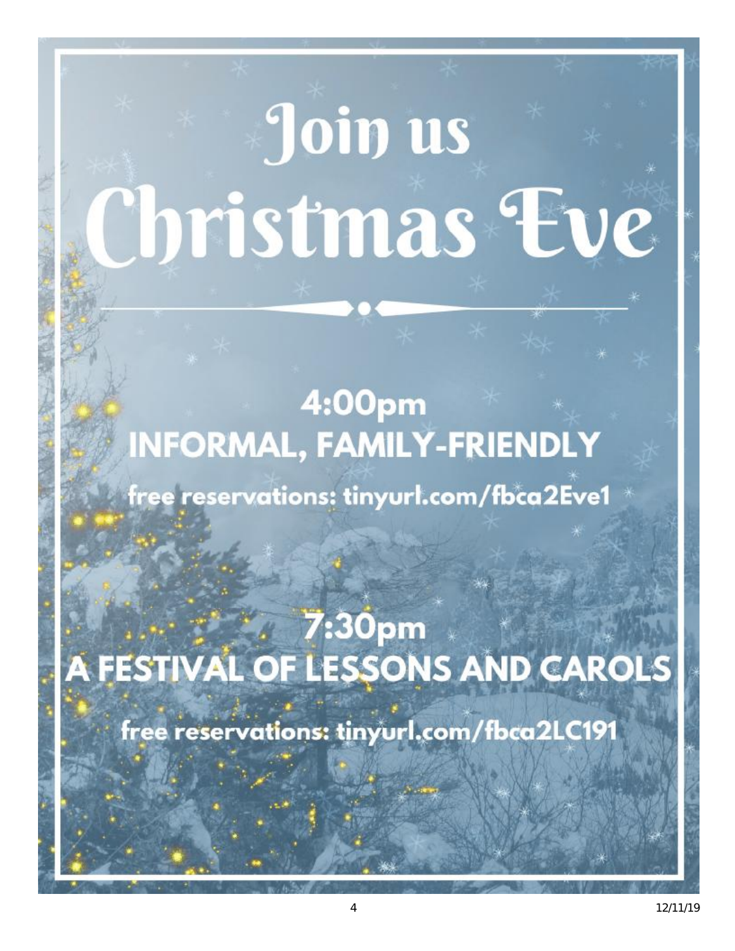## Join us Christmas Eve

## 4:00pm **INFORMAL, FAMILY-FRIENDLY**

free reservations: tinyurl.com/fbca2Eve1

7:30pm A FESTIVAL OF LESSONS AND CAROLS

free reservations: tinyurl.com/fbca2LC191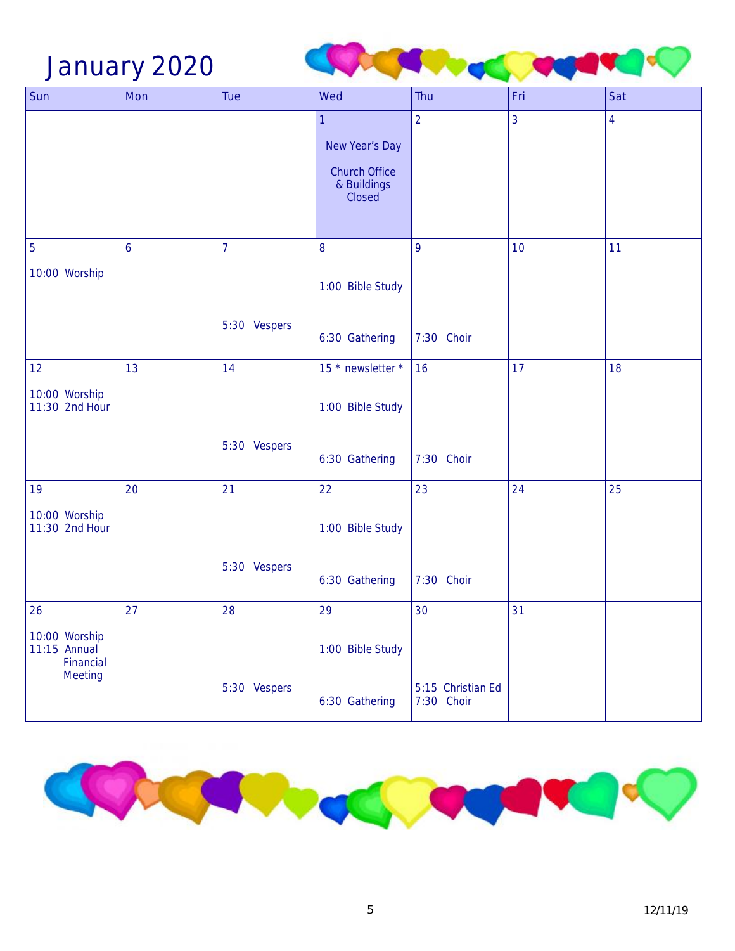### January 2020



| Sun                                                   | Mon | Tue            | Wed                                                                  | Thu                             | Fri | Sat            |
|-------------------------------------------------------|-----|----------------|----------------------------------------------------------------------|---------------------------------|-----|----------------|
|                                                       |     |                | 1<br>New Year's Day<br><b>Church Office</b><br>& Buildings<br>Closed | $\overline{2}$                  | 3   | $\overline{4}$ |
| 5                                                     | 6   | $\overline{7}$ | 8                                                                    | 9                               | 10  | 11             |
| 10:00 Worship                                         |     |                | 1:00 Bible Study                                                     |                                 |     |                |
|                                                       |     | 5:30 Vespers   | 6:30 Gathering                                                       | 7:30 Choir                      |     |                |
| 12                                                    | 13  | 14             | 15 * newsletter *                                                    | 16                              | 17  | 18             |
| 10:00 Worship<br>11:30 2nd Hour                       |     |                | 1:00 Bible Study                                                     |                                 |     |                |
|                                                       |     | 5:30 Vespers   | 6:30 Gathering                                                       | 7:30 Choir                      |     |                |
| 19                                                    | 20  | 21             | 22                                                                   | 23                              | 24  | 25             |
| 10:00 Worship<br>11:30 2nd Hour                       |     |                | 1:00 Bible Study                                                     |                                 |     |                |
|                                                       |     | 5:30 Vespers   | 6:30 Gathering                                                       | 7:30 Choir                      |     |                |
| 26                                                    | 27  | 28             | 29                                                                   | 30                              | 31  |                |
| 10:00 Worship<br>11:15 Annual<br>Financial<br>Meeting |     | 5:30 Vespers   | 1:00 Bible Study<br>6:30 Gathering                                   | 5:15 Christian Ed<br>7:30 Choir |     |                |